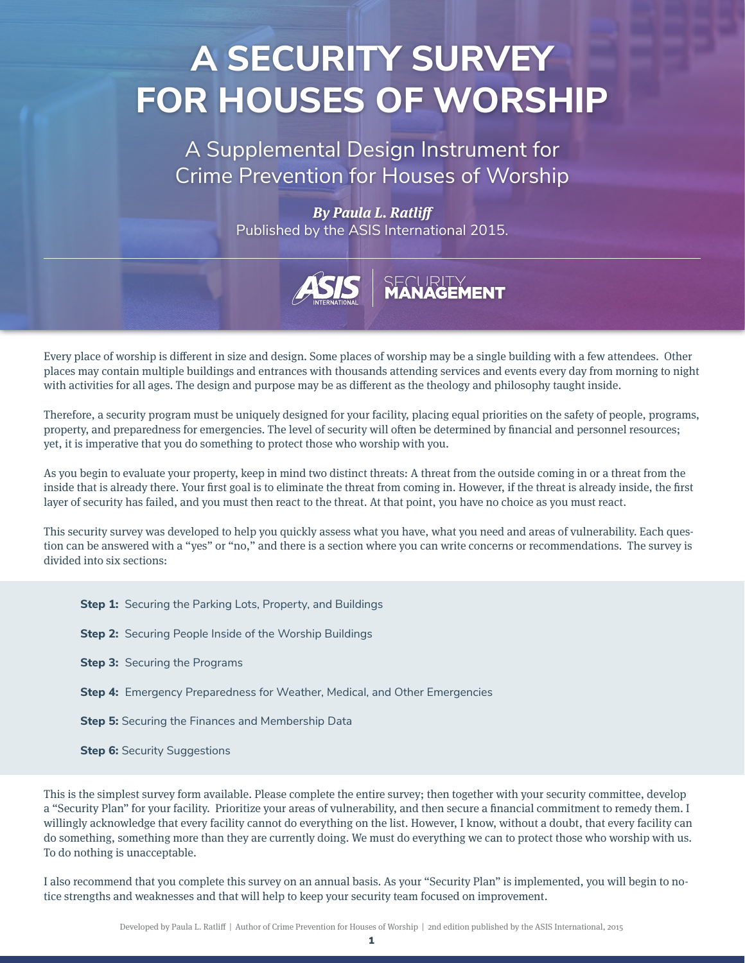# **A SECURITY SURVEY FOR HOUSES OF WORSHIP**

A Supplemental Design Instrument for Crime Prevention for Houses of Worship

> *By Paula L. Ratliff* Published by the ASIS International 2015.



Every place of worship is different in size and design. Some places of worship may be a single building with a few attendees. Other places may contain multiple buildings and entrances with thousands attending services and events every day from morning to night with activities for all ages. The design and purpose may be as different as the theology and philosophy taught inside.

Therefore, a security program must be uniquely designed for your facility, placing equal priorities on the safety of people, programs, property, and preparedness for emergencies. The level of security will often be determined by financial and personnel resources; yet, it is imperative that you do something to protect those who worship with you.

As you begin to evaluate your property, keep in mind two distinct threats: A threat from the outside coming in or a threat from the inside that is already there. Your first goal is to eliminate the threat from coming in. However, if the threat is already inside, the first layer of security has failed, and you must then react to the threat. At that point, you have no choice as you must react.

This security survey was developed to help you quickly assess what you have, what you need and areas of vulnerability. Each question can be answered with a "yes" or "no," and there is a section where you can write concerns or recommendations. The survey is divided into six sections:

**Step 1:** Securing the Parking Lots, Property, and Buildings **Step 2:** Securing People Inside of the Worship Buildings **Step 3: Securing the Programs Step 4:** Emergency Preparedness for Weather, Medical, and Other Emergencies **Step 5:** Securing the Finances and Membership Data **Step 6:** Security Suggestions

This is the simplest survey form available. Please complete the entire survey; then together with your security committee, develop a "Security Plan" for your facility. Prioritize your areas of vulnerability, and then secure a financial commitment to remedy them. I willingly acknowledge that every facility cannot do everything on the list. However, I know, without a doubt, that every facility can do something, something more than they are currently doing. We must do everything we can to protect those who worship with us. To do nothing is unacceptable.

I also recommend that you complete this survey on an annual basis. As your "Security Plan" is implemented, you will begin to notice strengths and weaknesses and that will help to keep your security team focused on improvement.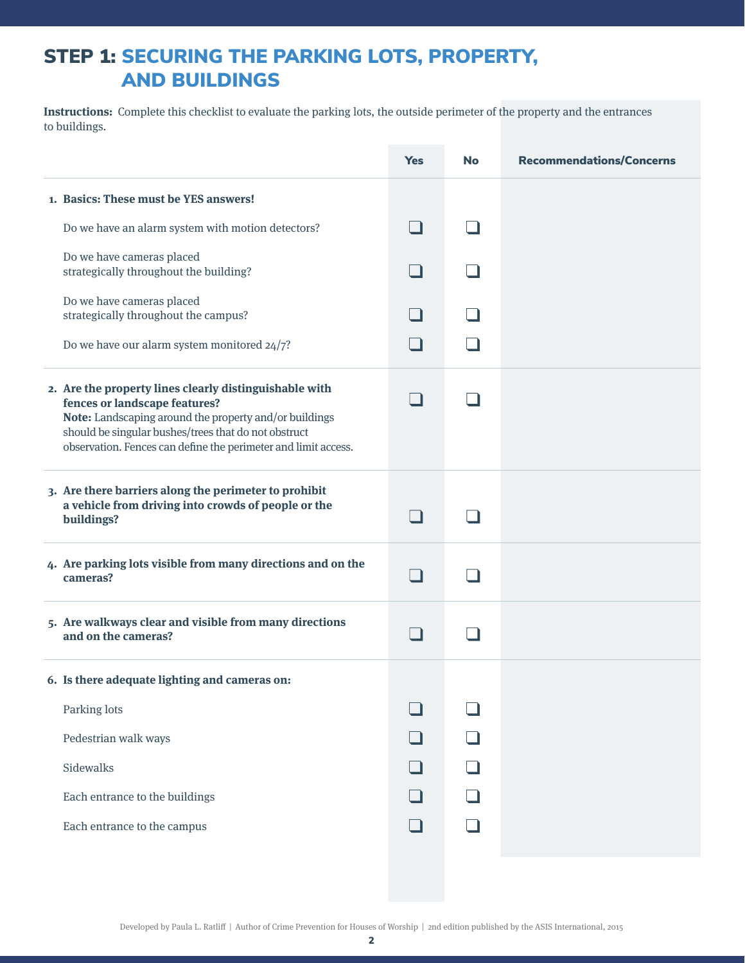## STEP 1: SECURING THE PARKING LOTS, PROPERTY, AND BUILDINGS

**Instructions:** Complete this checklist to evaluate the parking lots, the outside perimeter of the property and the entrances to buildings.

|                                                                                                                                                                                                                                                                             | <b>Yes</b> | <b>No</b> | <b>Recommendations/Concerns</b> |
|-----------------------------------------------------------------------------------------------------------------------------------------------------------------------------------------------------------------------------------------------------------------------------|------------|-----------|---------------------------------|
| 1. Basics: These must be YES answers!                                                                                                                                                                                                                                       |            |           |                                 |
| Do we have an alarm system with motion detectors?                                                                                                                                                                                                                           |            |           |                                 |
| Do we have cameras placed<br>strategically throughout the building?                                                                                                                                                                                                         |            |           |                                 |
| Do we have cameras placed<br>strategically throughout the campus?                                                                                                                                                                                                           |            |           |                                 |
| Do we have our alarm system monitored 24/7?                                                                                                                                                                                                                                 |            |           |                                 |
| 2. Are the property lines clearly distinguishable with<br>fences or landscape features?<br>Note: Landscaping around the property and/or buildings<br>should be singular bushes/trees that do not obstruct<br>observation. Fences can define the perimeter and limit access. |            |           |                                 |
| 3. Are there barriers along the perimeter to prohibit<br>a vehicle from driving into crowds of people or the<br>buildings?                                                                                                                                                  |            |           |                                 |
| 4. Are parking lots visible from many directions and on the<br>cameras?                                                                                                                                                                                                     |            |           |                                 |
| 5. Are walkways clear and visible from many directions<br>and on the cameras?                                                                                                                                                                                               |            |           |                                 |
| 6. Is there adequate lighting and cameras on:<br>Parking lots<br>Pedestrian walk ways<br>Sidewalks<br>Each entrance to the buildings<br>Each entrance to the campus                                                                                                         |            |           |                                 |
|                                                                                                                                                                                                                                                                             |            |           |                                 |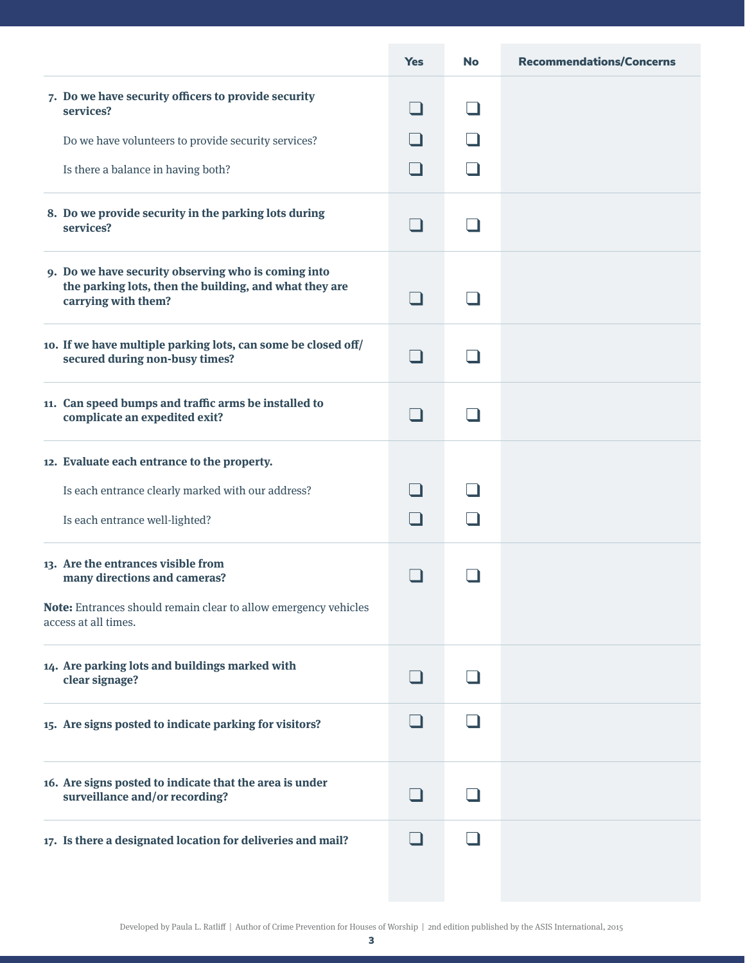|                                                                                                                                      | <b>Yes</b> | <b>No</b> | <b>Recommendations/Concerns</b> |
|--------------------------------------------------------------------------------------------------------------------------------------|------------|-----------|---------------------------------|
| 7. Do we have security officers to provide security<br>services?                                                                     |            |           |                                 |
| Do we have volunteers to provide security services?                                                                                  |            |           |                                 |
| Is there a balance in having both?                                                                                                   |            |           |                                 |
| 8. Do we provide security in the parking lots during<br>services?                                                                    |            |           |                                 |
| 9. Do we have security observing who is coming into<br>the parking lots, then the building, and what they are<br>carrying with them? |            |           |                                 |
| 10. If we have multiple parking lots, can some be closed off/<br>secured during non-busy times?                                      |            |           |                                 |
| 11. Can speed bumps and traffic arms be installed to<br>complicate an expedited exit?                                                |            |           |                                 |
| 12. Evaluate each entrance to the property.                                                                                          |            |           |                                 |
| Is each entrance clearly marked with our address?                                                                                    |            |           |                                 |
| Is each entrance well-lighted?                                                                                                       |            |           |                                 |
| 13. Are the entrances visible from<br>many directions and cameras?                                                                   |            |           |                                 |
| Note: Entrances should remain clear to allow emergency vehicles<br>access at all times.                                              |            |           |                                 |
| 14. Are parking lots and buildings marked with<br>clear signage?                                                                     |            |           |                                 |
| 15. Are signs posted to indicate parking for visitors?                                                                               |            |           |                                 |
| 16. Are signs posted to indicate that the area is under<br>surveillance and/or recording?                                            |            |           |                                 |
| 17. Is there a designated location for deliveries and mail?                                                                          |            |           |                                 |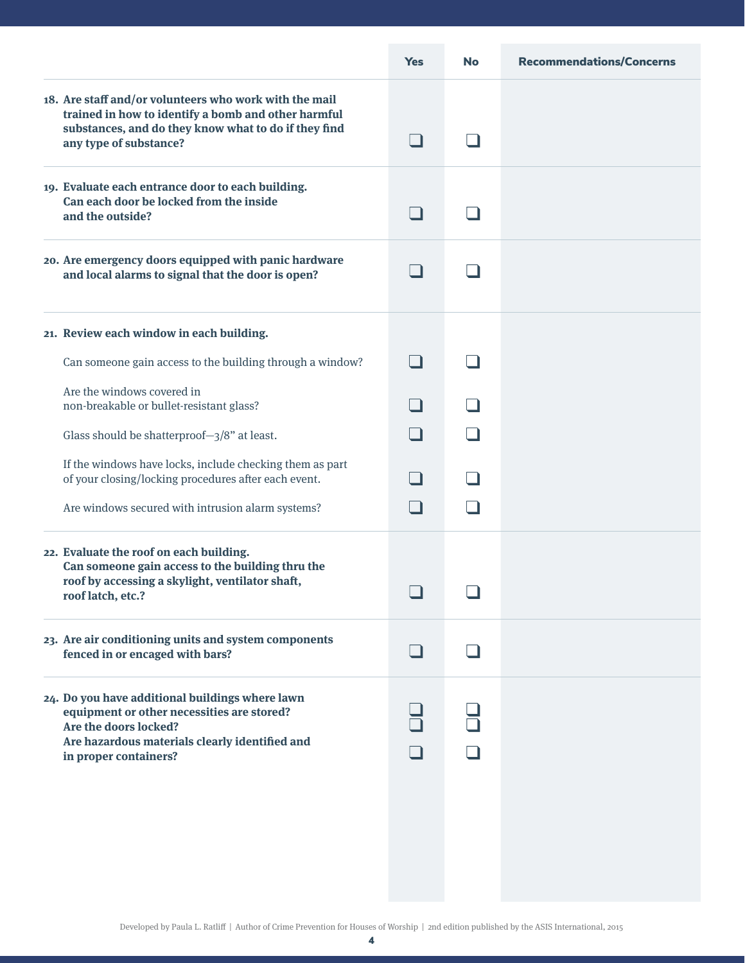|                                                                                                                                                                                                   | <b>Yes</b> | <b>No</b> | <b>Recommendations/Concerns</b> |
|---------------------------------------------------------------------------------------------------------------------------------------------------------------------------------------------------|------------|-----------|---------------------------------|
| 18. Are staff and/or volunteers who work with the mail<br>trained in how to identify a bomb and other harmful<br>substances, and do they know what to do if they find<br>any type of substance?   |            |           |                                 |
| 19. Evaluate each entrance door to each building.<br>Can each door be locked from the inside<br>and the outside?                                                                                  |            |           |                                 |
| 20. Are emergency doors equipped with panic hardware<br>and local alarms to signal that the door is open?                                                                                         |            |           |                                 |
| 21. Review each window in each building.                                                                                                                                                          |            |           |                                 |
| Can someone gain access to the building through a window?                                                                                                                                         |            |           |                                 |
| Are the windows covered in<br>non-breakable or bullet-resistant glass?                                                                                                                            |            |           |                                 |
| Glass should be shatterproof-3/8" at least.                                                                                                                                                       |            |           |                                 |
| If the windows have locks, include checking them as part<br>of your closing/locking procedures after each event.                                                                                  |            |           |                                 |
| Are windows secured with intrusion alarm systems?                                                                                                                                                 |            |           |                                 |
| 22. Evaluate the roof on each building.<br>Can someone gain access to the building thru the<br>roof by accessing a skylight, ventilator shaft,<br>roof latch, etc.?                               |            |           |                                 |
| 23. Are air conditioning units and system components<br>fenced in or encaged with bars?                                                                                                           |            |           |                                 |
| 24. Do you have additional buildings where lawn<br>equipment or other necessities are stored?<br>Are the doors locked?<br>Are hazardous materials clearly identified and<br>in proper containers? |            |           |                                 |
|                                                                                                                                                                                                   |            |           |                                 |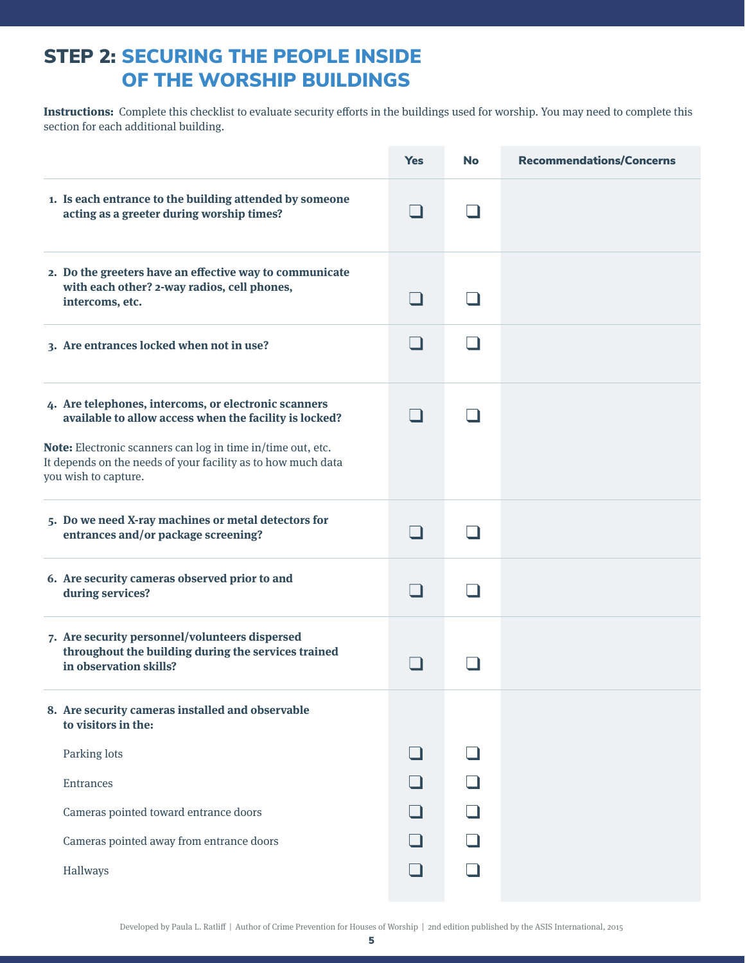#### STEP 2: SECURING THE PEOPLE INSIDE OF THE WORSHIP BUILDINGS

**Instructions:** Complete this checklist to evaluate security efforts in the buildings used for worship. You may need to complete this section for each additional building.

|                                                                                                                                                                                                                                                                       | <b>Yes</b> | <b>No</b> | <b>Recommendations/Concerns</b> |
|-----------------------------------------------------------------------------------------------------------------------------------------------------------------------------------------------------------------------------------------------------------------------|------------|-----------|---------------------------------|
| 1. Is each entrance to the building attended by someone<br>acting as a greeter during worship times?                                                                                                                                                                  |            |           |                                 |
| 2. Do the greeters have an effective way to communicate<br>with each other? 2-way radios, cell phones,<br>intercoms, etc.                                                                                                                                             |            |           |                                 |
| 3. Are entrances locked when not in use?                                                                                                                                                                                                                              |            |           |                                 |
| 4. Are telephones, intercoms, or electronic scanners<br>available to allow access when the facility is locked?<br>Note: Electronic scanners can log in time in/time out, etc.<br>It depends on the needs of your facility as to how much data<br>you wish to capture. |            |           |                                 |
| 5. Do we need X-ray machines or metal detectors for<br>entrances and/or package screening?                                                                                                                                                                            |            |           |                                 |
| 6. Are security cameras observed prior to and<br>during services?                                                                                                                                                                                                     |            |           |                                 |
| 7. Are security personnel/volunteers dispersed<br>throughout the building during the services trained<br>in observation skills?                                                                                                                                       |            |           |                                 |
| 8. Are security cameras installed and observable<br>to visitors in the:                                                                                                                                                                                               |            |           |                                 |
| Parking lots                                                                                                                                                                                                                                                          |            |           |                                 |
| Entrances                                                                                                                                                                                                                                                             |            |           |                                 |
| Cameras pointed toward entrance doors                                                                                                                                                                                                                                 |            |           |                                 |
| Cameras pointed away from entrance doors                                                                                                                                                                                                                              |            |           |                                 |
| Hallways                                                                                                                                                                                                                                                              |            |           |                                 |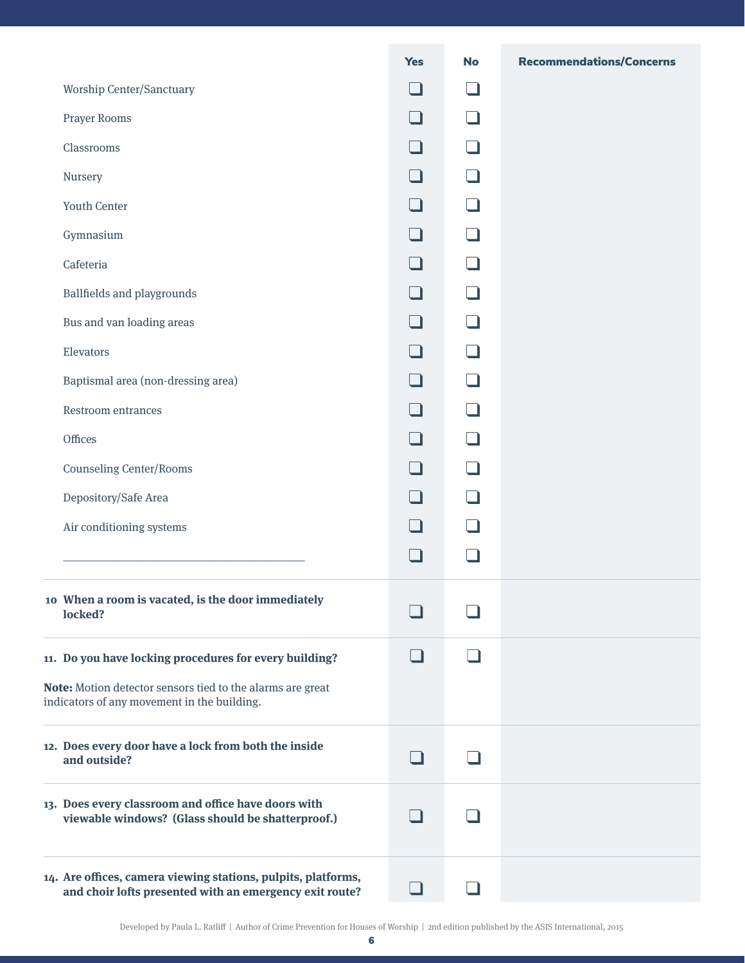|                                                                                                                          | <b>Yes</b> | <b>No</b> | <b>Recommendations/Concerns</b> |
|--------------------------------------------------------------------------------------------------------------------------|------------|-----------|---------------------------------|
| <b>Worship Center/Sanctuary</b>                                                                                          |            |           |                                 |
| Prayer Rooms                                                                                                             |            |           |                                 |
| Classrooms                                                                                                               |            |           |                                 |
| Nursery                                                                                                                  |            |           |                                 |
| <b>Youth Center</b>                                                                                                      |            |           |                                 |
| Gymnasium                                                                                                                |            |           |                                 |
| Cafeteria                                                                                                                |            |           |                                 |
| <b>Ballfields and playgrounds</b>                                                                                        |            |           |                                 |
| Bus and van loading areas                                                                                                |            |           |                                 |
| Elevators                                                                                                                |            |           |                                 |
| Baptismal area (non-dressing area)                                                                                       |            |           |                                 |
| Restroom entrances                                                                                                       |            |           |                                 |
| Offices                                                                                                                  |            |           |                                 |
| <b>Counseling Center/Rooms</b>                                                                                           |            |           |                                 |
| Depository/Safe Area                                                                                                     |            |           |                                 |
| Air conditioning systems                                                                                                 |            |           |                                 |
|                                                                                                                          |            |           |                                 |
| 10 When a room is vacated, is the door immediately<br>locked?                                                            |            |           |                                 |
| 11. Do you have locking procedures for every building?                                                                   |            |           |                                 |
| Note: Motion detector sensors tied to the alarms are great<br>indicators of any movement in the building.                |            |           |                                 |
| 12. Does every door have a lock from both the inside<br>and outside?                                                     |            |           |                                 |
| 13. Does every classroom and office have doors with<br>viewable windows? (Glass should be shatterproof.)                 |            |           |                                 |
| 14. Are offices, camera viewing stations, pulpits, platforms,<br>and choir lofts presented with an emergency exit route? | . H        |           |                                 |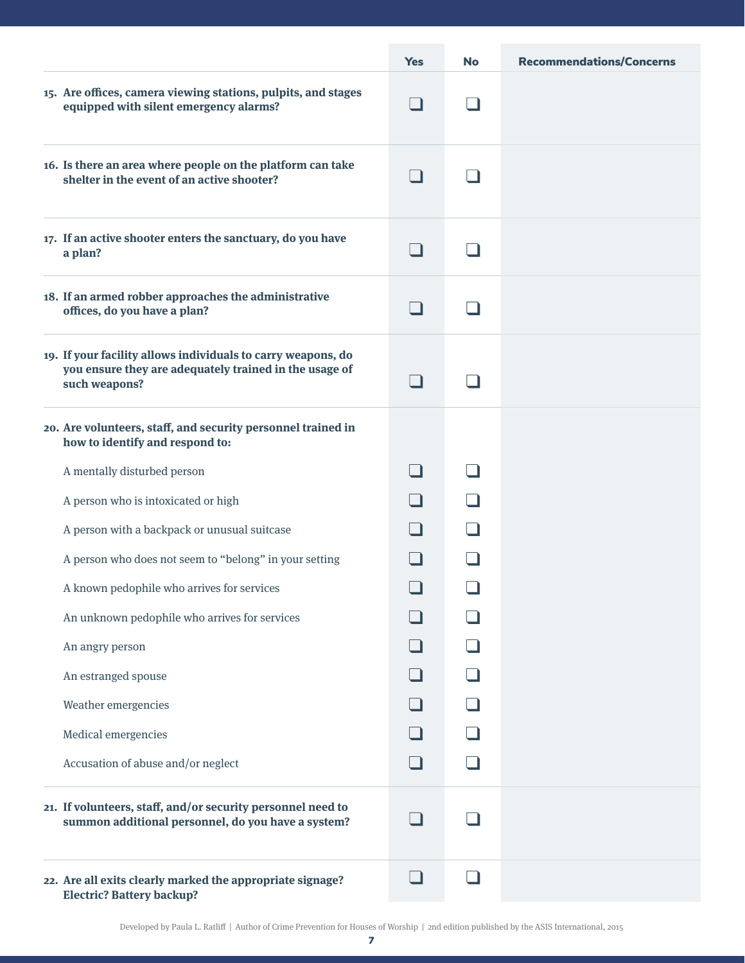|                                                                                                                                         | <b>Yes</b> | <b>No</b> | <b>Recommendations/Concerns</b> |
|-----------------------------------------------------------------------------------------------------------------------------------------|------------|-----------|---------------------------------|
| 15. Are offices, camera viewing stations, pulpits, and stages<br>equipped with silent emergency alarms?                                 | - 1        |           |                                 |
| 16. Is there an area where people on the platform can take<br>shelter in the event of an active shooter?                                | - 1        |           |                                 |
| 17. If an active shooter enters the sanctuary, do you have<br>a plan?                                                                   | - 1        |           |                                 |
| 18. If an armed robber approaches the administrative<br>offices, do you have a plan?                                                    | - 1        |           |                                 |
| 19. If your facility allows individuals to carry weapons, do<br>you ensure they are adequately trained in the usage of<br>such weapons? | - 1        |           |                                 |
| 20. Are volunteers, staff, and security personnel trained in<br>how to identify and respond to:                                         |            |           |                                 |
| A mentally disturbed person                                                                                                             |            |           |                                 |
| A person who is intoxicated or high                                                                                                     |            |           |                                 |
| A person with a backpack or unusual suitcase                                                                                            |            |           |                                 |
| A person who does not seem to "belong" in your setting                                                                                  |            |           |                                 |
| A known pedophile who arrives for services                                                                                              | $\Box$     |           |                                 |
| An unknown pedophile who arrives for services                                                                                           |            |           |                                 |
| An angry person                                                                                                                         |            |           |                                 |
| An estranged spouse                                                                                                                     |            |           |                                 |
| Weather emergencies                                                                                                                     |            |           |                                 |
| Medical emergencies                                                                                                                     |            |           |                                 |
| Accusation of abuse and/or neglect                                                                                                      |            |           |                                 |
| 21. If volunteers, staff, and/or security personnel need to<br>summon additional personnel, do you have a system?                       |            |           |                                 |
| 22. Are all exits clearly marked the appropriate signage?<br><b>Electric? Battery backup?</b>                                           | - 1        | - 11      |                                 |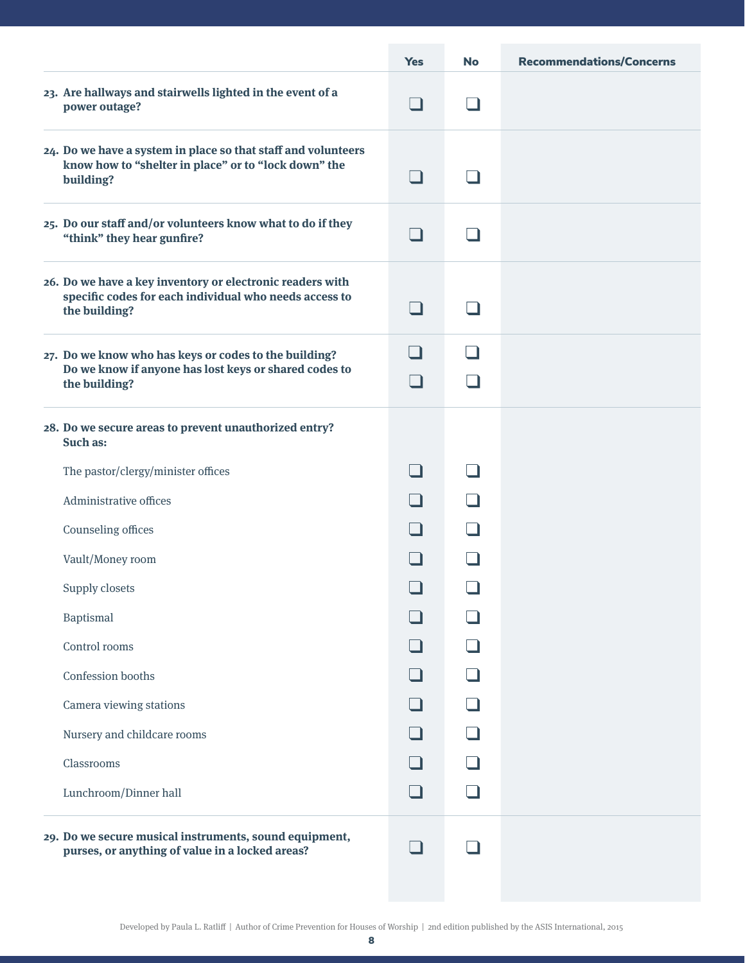|                                                                                                                                      | <b>Yes</b> | <b>No</b> | <b>Recommendations/Concerns</b> |
|--------------------------------------------------------------------------------------------------------------------------------------|------------|-----------|---------------------------------|
| 23. Are hallways and stairwells lighted in the event of a<br>power outage?                                                           | $\Box$     |           |                                 |
| 24. Do we have a system in place so that staff and volunteers<br>know how to "shelter in place" or to "lock down" the<br>building?   |            |           |                                 |
| 25. Do our staff and/or volunteers know what to do if they<br>"think" they hear gunfire?                                             |            |           |                                 |
| 26. Do we have a key inventory or electronic readers with<br>specific codes for each individual who needs access to<br>the building? |            |           |                                 |
| 27. Do we know who has keys or codes to the building?                                                                                |            |           |                                 |
| Do we know if anyone has lost keys or shared codes to<br>the building?                                                               |            |           |                                 |
| 28. Do we secure areas to prevent unauthorized entry?<br>Such as:                                                                    |            |           |                                 |
| The pastor/clergy/minister offices                                                                                                   |            |           |                                 |
| Administrative offices                                                                                                               |            |           |                                 |
| Counseling offices                                                                                                                   |            |           |                                 |
| Vault/Money room                                                                                                                     |            |           |                                 |
| Supply closets                                                                                                                       | $\Box$     |           |                                 |
| Baptismal                                                                                                                            |            |           |                                 |
| Control rooms                                                                                                                        |            |           |                                 |
| Confession booths                                                                                                                    |            |           |                                 |
| Camera viewing stations                                                                                                              |            |           |                                 |
| Nursery and childcare rooms                                                                                                          |            |           |                                 |
| Classrooms                                                                                                                           |            |           |                                 |
| Lunchroom/Dinner hall                                                                                                                |            |           |                                 |
| 29. Do we secure musical instruments, sound equipment,<br>purses, or anything of value in a locked areas?                            |            |           |                                 |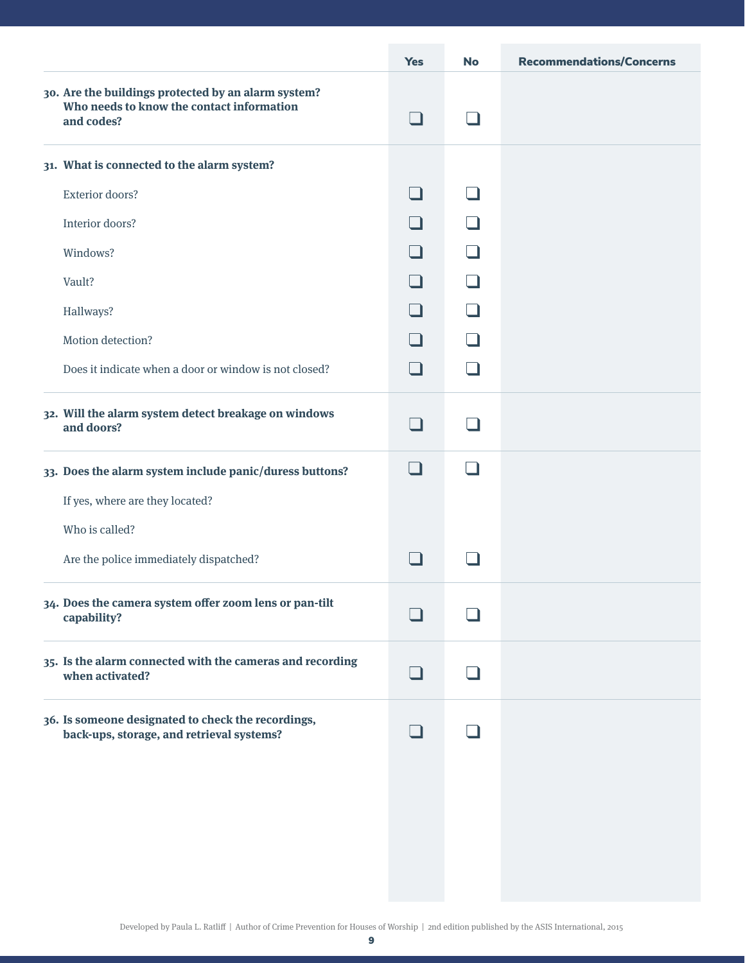|                                                                                                                | <b>Yes</b>     | <b>No</b>                | <b>Recommendations/Concerns</b> |
|----------------------------------------------------------------------------------------------------------------|----------------|--------------------------|---------------------------------|
| 30. Are the buildings protected by an alarm system?<br>Who needs to know the contact information<br>and codes? | $\Box$         |                          |                                 |
| 31. What is connected to the alarm system?                                                                     |                |                          |                                 |
| Exterior doors?                                                                                                | n an           | - 1                      |                                 |
| Interior doors?                                                                                                | - 1            | - 1                      |                                 |
| Windows?                                                                                                       | - 1            | $\blacksquare$           |                                 |
| Vault?                                                                                                         | - 1            | $\blacksquare$           |                                 |
| Hallways?                                                                                                      | - 1            | - 1                      |                                 |
| Motion detection?                                                                                              | - 1            | - 1                      |                                 |
| Does it indicate when a door or window is not closed?                                                          | $\blacksquare$ | $\overline{\phantom{a}}$ |                                 |
| 32. Will the alarm system detect breakage on windows<br>and doors?                                             | - 1            |                          |                                 |
| 33. Does the alarm system include panic/duress buttons?                                                        | l 1            | - 1                      |                                 |
| If yes, where are they located?                                                                                |                |                          |                                 |
| Who is called?                                                                                                 |                |                          |                                 |
| Are the police immediately dispatched?                                                                         | - 1            |                          |                                 |
| 34. Does the camera system offer zoom lens or pan-tilt<br>capability?                                          |                |                          |                                 |
| 35. Is the alarm connected with the cameras and recording<br>when activated?                                   |                |                          |                                 |
| 36. Is someone designated to check the recordings,<br>back-ups, storage, and retrieval systems?                |                |                          |                                 |
|                                                                                                                |                |                          |                                 |
|                                                                                                                |                |                          |                                 |
|                                                                                                                |                |                          |                                 |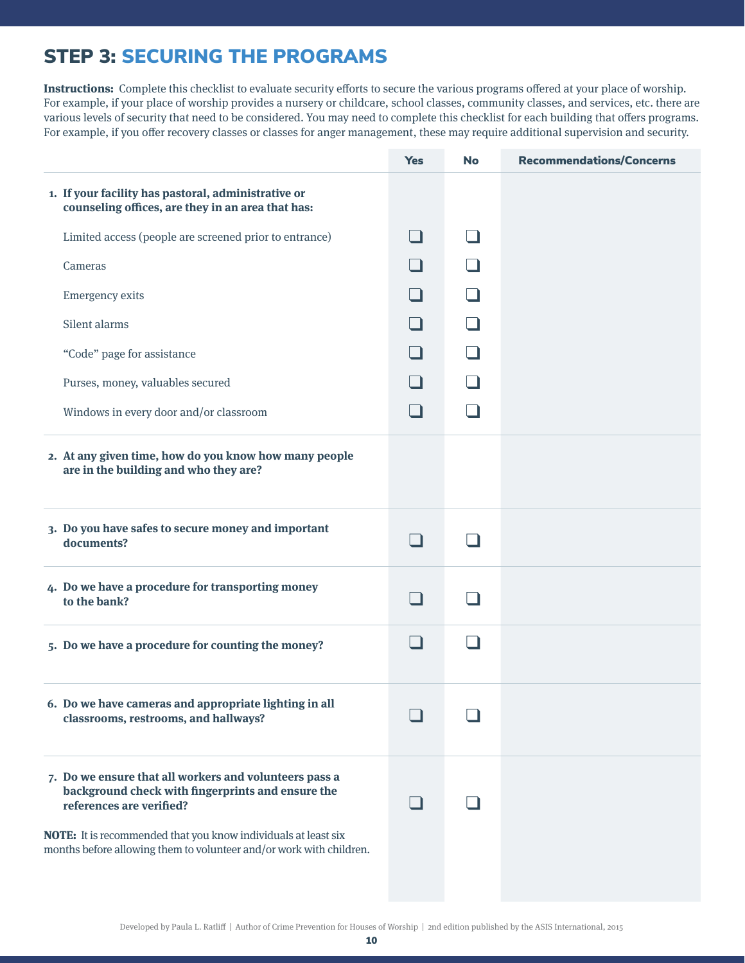## STEP 3: SECURING THE PROGRAMS

**Instructions:** Complete this checklist to evaluate security efforts to secure the various programs offered at your place of worship. For example, if your place of worship provides a nursery or childcare, school classes, community classes, and services, etc. there are various levels of security that need to be considered. You may need to complete this checklist for each building that offers programs. For example, if you offer recovery classes or classes for anger management, these may require additional supervision and security.

|                                                                                                                                                                                                                                                                                  | <b>Yes</b> | <b>No</b>                | <b>Recommendations/Concerns</b> |
|----------------------------------------------------------------------------------------------------------------------------------------------------------------------------------------------------------------------------------------------------------------------------------|------------|--------------------------|---------------------------------|
| 1. If your facility has pastoral, administrative or<br>counseling offices, are they in an area that has:                                                                                                                                                                         |            |                          |                                 |
| Limited access (people are screened prior to entrance)                                                                                                                                                                                                                           |            |                          |                                 |
| Cameras                                                                                                                                                                                                                                                                          |            |                          |                                 |
| <b>Emergency exits</b>                                                                                                                                                                                                                                                           |            | $\overline{\phantom{a}}$ |                                 |
| Silent alarms                                                                                                                                                                                                                                                                    |            | $\overline{\phantom{a}}$ |                                 |
| "Code" page for assistance                                                                                                                                                                                                                                                       |            | $\overline{\phantom{a}}$ |                                 |
| Purses, money, valuables secured                                                                                                                                                                                                                                                 |            |                          |                                 |
| Windows in every door and/or classroom                                                                                                                                                                                                                                           |            | - 1                      |                                 |
| 2. At any given time, how do you know how many people<br>are in the building and who they are?                                                                                                                                                                                   |            |                          |                                 |
| 3. Do you have safes to secure money and important<br>documents?                                                                                                                                                                                                                 |            |                          |                                 |
| 4. Do we have a procedure for transporting money<br>to the bank?                                                                                                                                                                                                                 |            |                          |                                 |
| 5. Do we have a procedure for counting the money?                                                                                                                                                                                                                                |            |                          |                                 |
| 6. Do we have cameras and appropriate lighting in all<br>classrooms, restrooms, and hallways?                                                                                                                                                                                    |            |                          |                                 |
| 7. Do we ensure that all workers and volunteers pass a<br>background check with fingerprints and ensure the<br>references are verified?<br>NOTE: It is recommended that you know individuals at least six<br>months before allowing them to volunteer and/or work with children. |            |                          |                                 |
|                                                                                                                                                                                                                                                                                  |            |                          |                                 |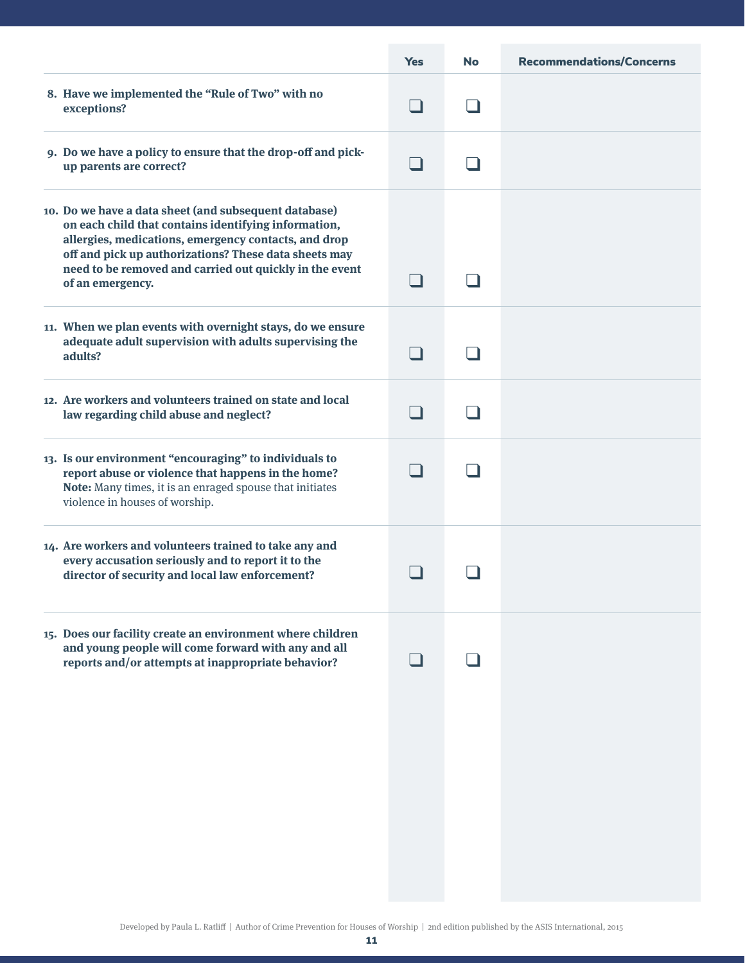|                                                                                                                                                                                                                                                                                                               | <b>Yes</b> | <b>No</b> | <b>Recommendations/Concerns</b> |
|---------------------------------------------------------------------------------------------------------------------------------------------------------------------------------------------------------------------------------------------------------------------------------------------------------------|------------|-----------|---------------------------------|
| 8. Have we implemented the "Rule of Two" with no<br>exceptions?                                                                                                                                                                                                                                               |            |           |                                 |
| 9. Do we have a policy to ensure that the drop-off and pick-<br>up parents are correct?                                                                                                                                                                                                                       |            |           |                                 |
| 10. Do we have a data sheet (and subsequent database)<br>on each child that contains identifying information,<br>allergies, medications, emergency contacts, and drop<br>off and pick up authorizations? These data sheets may<br>need to be removed and carried out quickly in the event<br>of an emergency. |            |           |                                 |
| 11. When we plan events with overnight stays, do we ensure<br>adequate adult supervision with adults supervising the<br>adults?                                                                                                                                                                               |            |           |                                 |
| 12. Are workers and volunteers trained on state and local<br>law regarding child abuse and neglect?                                                                                                                                                                                                           |            |           |                                 |
| 13. Is our environment "encouraging" to individuals to<br>report abuse or violence that happens in the home?<br>Note: Many times, it is an enraged spouse that initiates<br>violence in houses of worship.                                                                                                    |            |           |                                 |
| 14. Are workers and volunteers trained to take any and<br>every accusation seriously and to report it to the<br>director of security and local law enforcement?                                                                                                                                               |            |           |                                 |
| 15. Does our facility create an environment where children<br>and young people will come forward with any and all<br>reports and/or attempts at inappropriate behavior?                                                                                                                                       |            |           |                                 |
|                                                                                                                                                                                                                                                                                                               |            |           |                                 |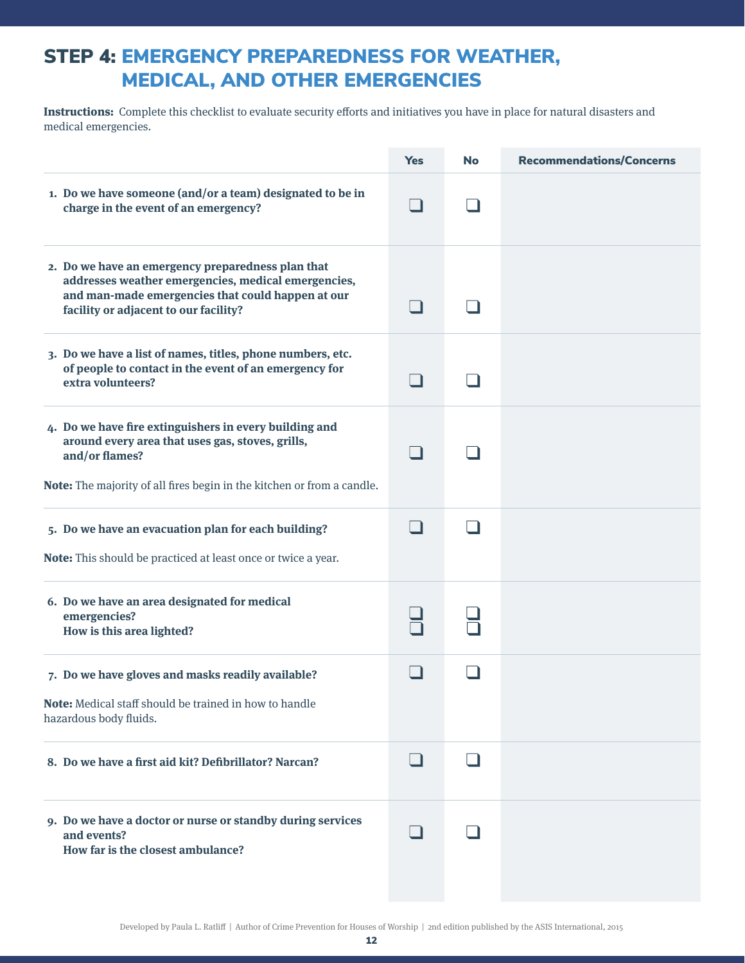#### STEP 4: EMERGENCY PREPAREDNESS FOR WEATHER, MEDICAL, AND OTHER EMERGENCIES

**Instructions:** Complete this checklist to evaluate security efforts and initiatives you have in place for natural disasters and medical emergencies.

|                                                                                                                                                                                                        | <b>Yes</b> | <b>No</b> | <b>Recommendations/Concerns</b> |
|--------------------------------------------------------------------------------------------------------------------------------------------------------------------------------------------------------|------------|-----------|---------------------------------|
| 1. Do we have someone (and/or a team) designated to be in<br>charge in the event of an emergency?                                                                                                      |            |           |                                 |
| 2. Do we have an emergency preparedness plan that<br>addresses weather emergencies, medical emergencies,<br>and man-made emergencies that could happen at our<br>facility or adjacent to our facility? |            |           |                                 |
| 3. Do we have a list of names, titles, phone numbers, etc.<br>of people to contact in the event of an emergency for<br>extra volunteers?                                                               |            |           |                                 |
| 4. Do we have fire extinguishers in every building and<br>around every area that uses gas, stoves, grills,<br>and/or flames?<br>Note: The majority of all fires begin in the kitchen or from a candle. |            |           |                                 |
| 5. Do we have an evacuation plan for each building?<br>Note: This should be practiced at least once or twice a year.                                                                                   |            |           |                                 |
| 6. Do we have an area designated for medical<br>emergencies?<br>How is this area lighted?                                                                                                              |            |           |                                 |
| 7. Do we have gloves and masks readily available?<br>Note: Medical staff should be trained in how to handle<br>hazardous body fluids.                                                                  |            |           |                                 |
| 8. Do we have a first aid kit? Defibrillator? Narcan?                                                                                                                                                  | H          |           |                                 |
| 9. Do we have a doctor or nurse or standby during services<br>and events?<br>How far is the closest ambulance?                                                                                         |            |           |                                 |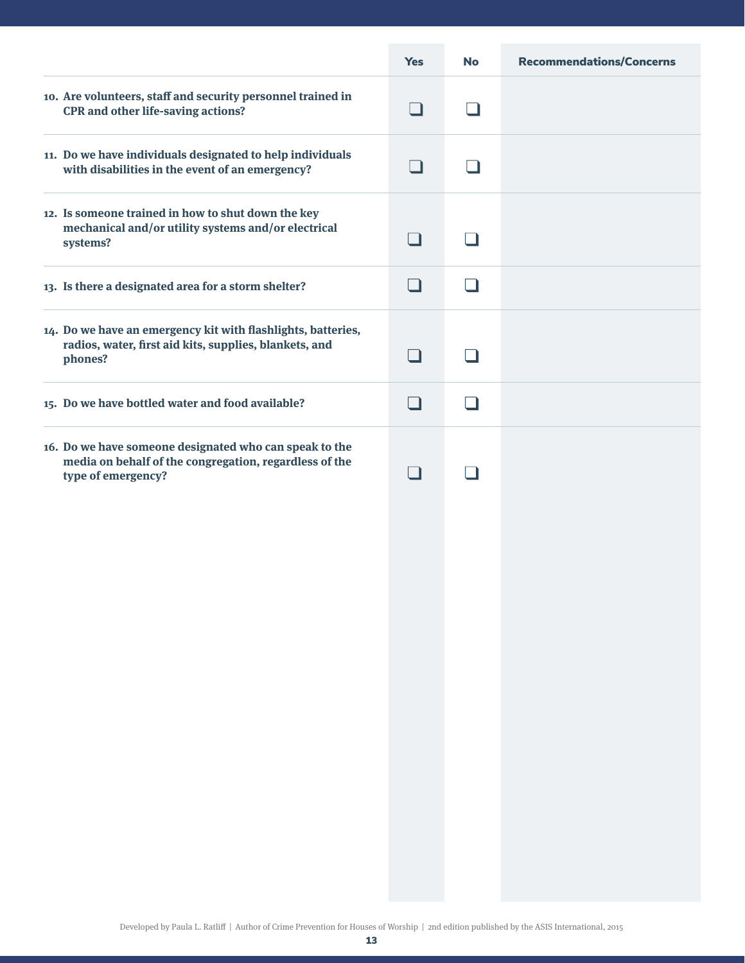|                                                                                                                                        | <b>Yes</b> | <b>No</b> | <b>Recommendations/Concerns</b> |
|----------------------------------------------------------------------------------------------------------------------------------------|------------|-----------|---------------------------------|
| 10. Are volunteers, staff and security personnel trained in<br><b>CPR</b> and other life-saving actions?                               |            | - 1       |                                 |
| 11. Do we have individuals designated to help individuals<br>with disabilities in the event of an emergency?                           |            |           |                                 |
| 12. Is someone trained in how to shut down the key<br>mechanical and/or utility systems and/or electrical<br>systems?                  | H          | - 11      |                                 |
| 13. Is there a designated area for a storm shelter?                                                                                    |            | - 11      |                                 |
| 14. Do we have an emergency kit with flashlights, batteries,<br>radios, water, first aid kits, supplies, blankets, and<br>phones?      | - 1        |           |                                 |
| 15. Do we have bottled water and food available?                                                                                       |            |           |                                 |
| 16. Do we have someone designated who can speak to the<br>media on behalf of the congregation, regardless of the<br>type of emergency? | - 1        |           |                                 |
|                                                                                                                                        |            |           |                                 |
|                                                                                                                                        |            |           |                                 |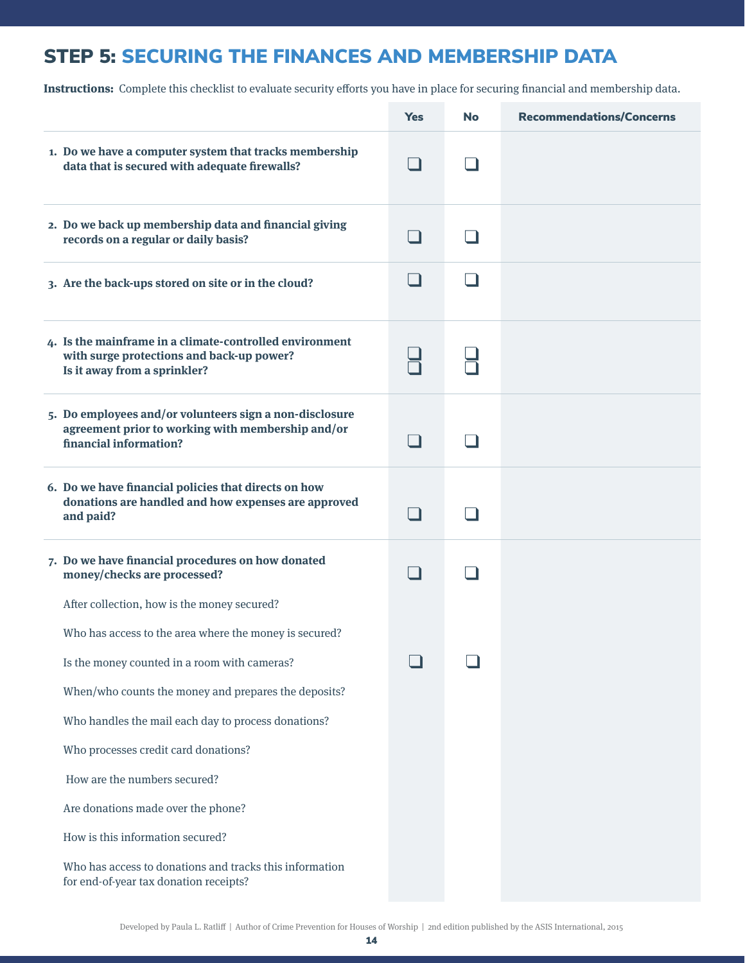# STEP 5: SECURING THE FINANCES AND MEMBERSHIP DATA

**Instructions:** Complete this checklist to evaluate security efforts you have in place for securing financial and membership data.

|                                                                                                                                                                                                               | <b>Yes</b> | <b>No</b> | <b>Recommendations/Concerns</b> |
|---------------------------------------------------------------------------------------------------------------------------------------------------------------------------------------------------------------|------------|-----------|---------------------------------|
| 1. Do we have a computer system that tracks membership<br>data that is secured with adequate firewalls?                                                                                                       |            |           |                                 |
| 2. Do we back up membership data and financial giving<br>records on a regular or daily basis?                                                                                                                 |            |           |                                 |
| 3. Are the back-ups stored on site or in the cloud?                                                                                                                                                           |            |           |                                 |
| 4. Is the mainframe in a climate-controlled environment<br>with surge protections and back-up power?<br>Is it away from a sprinkler?                                                                          |            |           |                                 |
| 5. Do employees and/or volunteers sign a non-disclosure<br>agreement prior to working with membership and/or<br>financial information?                                                                        |            |           |                                 |
| 6. Do we have financial policies that directs on how<br>donations are handled and how expenses are approved<br>and paid?                                                                                      |            |           |                                 |
| 7. Do we have financial procedures on how donated<br>money/checks are processed?                                                                                                                              |            |           |                                 |
| After collection, how is the money secured?<br>Who has access to the area where the money is secured?<br>Is the money counted in a room with cameras?<br>When/who counts the money and prepares the deposits? |            |           |                                 |
| Who handles the mail each day to process donations?                                                                                                                                                           |            |           |                                 |
| Who processes credit card donations?                                                                                                                                                                          |            |           |                                 |
| How are the numbers secured?                                                                                                                                                                                  |            |           |                                 |
| Are donations made over the phone?                                                                                                                                                                            |            |           |                                 |
| How is this information secured?                                                                                                                                                                              |            |           |                                 |
| Who has access to donations and tracks this information<br>for end-of-year tax donation receipts?                                                                                                             |            |           |                                 |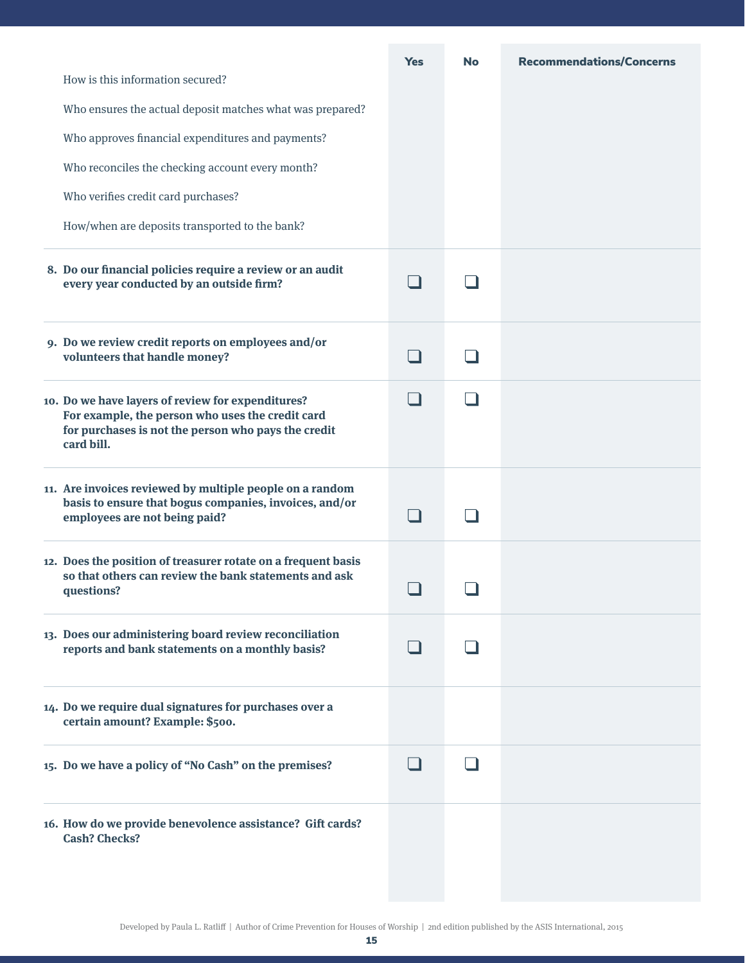|                                                                                                                                                                            | <b>Yes</b> | <b>No</b> | <b>Recommendations/Concerns</b> |
|----------------------------------------------------------------------------------------------------------------------------------------------------------------------------|------------|-----------|---------------------------------|
| How is this information secured?                                                                                                                                           |            |           |                                 |
| Who ensures the actual deposit matches what was prepared?                                                                                                                  |            |           |                                 |
| Who approves financial expenditures and payments?                                                                                                                          |            |           |                                 |
| Who reconciles the checking account every month?                                                                                                                           |            |           |                                 |
| Who verifies credit card purchases?                                                                                                                                        |            |           |                                 |
| How/when are deposits transported to the bank?                                                                                                                             |            |           |                                 |
| 8. Do our financial policies require a review or an audit<br>every year conducted by an outside firm?                                                                      |            |           |                                 |
| 9. Do we review credit reports on employees and/or<br>volunteers that handle money?                                                                                        |            |           |                                 |
| 10. Do we have layers of review for expenditures?<br>For example, the person who uses the credit card<br>for purchases is not the person who pays the credit<br>card bill. |            |           |                                 |
| 11. Are invoices reviewed by multiple people on a random<br>basis to ensure that bogus companies, invoices, and/or<br>employees are not being paid?                        |            |           |                                 |
| 12. Does the position of treasurer rotate on a frequent basis<br>so that others can review the bank statements and ask<br>questions?                                       |            |           |                                 |
| 13. Does our administering board review reconciliation<br>reports and bank statements on a monthly basis?                                                                  |            |           |                                 |
| 14. Do we require dual signatures for purchases over a<br>certain amount? Example: \$500.                                                                                  |            |           |                                 |
| 15. Do we have a policy of "No Cash" on the premises?                                                                                                                      |            |           |                                 |
| 16. How do we provide benevolence assistance? Gift cards?<br><b>Cash? Checks?</b>                                                                                          |            |           |                                 |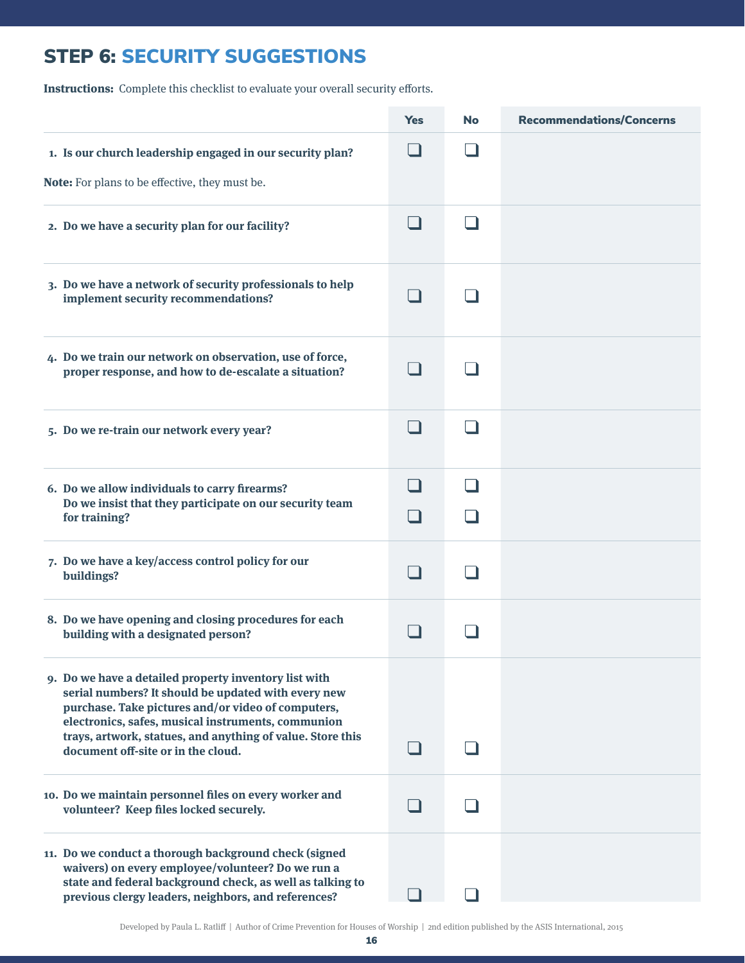# STEP 6: SECURITY SUGGESTIONS

**Instructions:** Complete this checklist to evaluate your overall security efforts.

|                                                                                                                                                                                                                                                                                                                              | <b>Yes</b> | <b>No</b> | <b>Recommendations/Concerns</b> |
|------------------------------------------------------------------------------------------------------------------------------------------------------------------------------------------------------------------------------------------------------------------------------------------------------------------------------|------------|-----------|---------------------------------|
| 1. Is our church leadership engaged in our security plan?<br>Note: For plans to be effective, they must be.                                                                                                                                                                                                                  |            |           |                                 |
| 2. Do we have a security plan for our facility?                                                                                                                                                                                                                                                                              |            |           |                                 |
| 3. Do we have a network of security professionals to help<br>implement security recommendations?                                                                                                                                                                                                                             |            |           |                                 |
| 4. Do we train our network on observation, use of force,<br>proper response, and how to de-escalate a situation?                                                                                                                                                                                                             |            |           |                                 |
| 5. Do we re-train our network every year?                                                                                                                                                                                                                                                                                    |            |           |                                 |
| 6. Do we allow individuals to carry firearms?<br>Do we insist that they participate on our security team<br>for training?                                                                                                                                                                                                    |            |           |                                 |
| 7. Do we have a key/access control policy for our<br>buildings?                                                                                                                                                                                                                                                              |            |           |                                 |
| 8. Do we have opening and closing procedures for each<br>building with a designated person?                                                                                                                                                                                                                                  |            |           |                                 |
| 9. Do we have a detailed property inventory list with<br>serial numbers? It should be updated with every new<br>purchase. Take pictures and/or video of computers,<br>electronics, safes, musical instruments, communion<br>trays, artwork, statues, and anything of value. Store this<br>document off-site or in the cloud. |            |           |                                 |
| 10. Do we maintain personnel files on every worker and<br>volunteer? Keep files locked securely.                                                                                                                                                                                                                             |            |           |                                 |
| 11. Do we conduct a thorough background check (signed<br>waivers) on every employee/volunteer? Do we run a<br>state and federal background check, as well as talking to<br>previous clergy leaders, neighbors, and references?                                                                                               |            |           |                                 |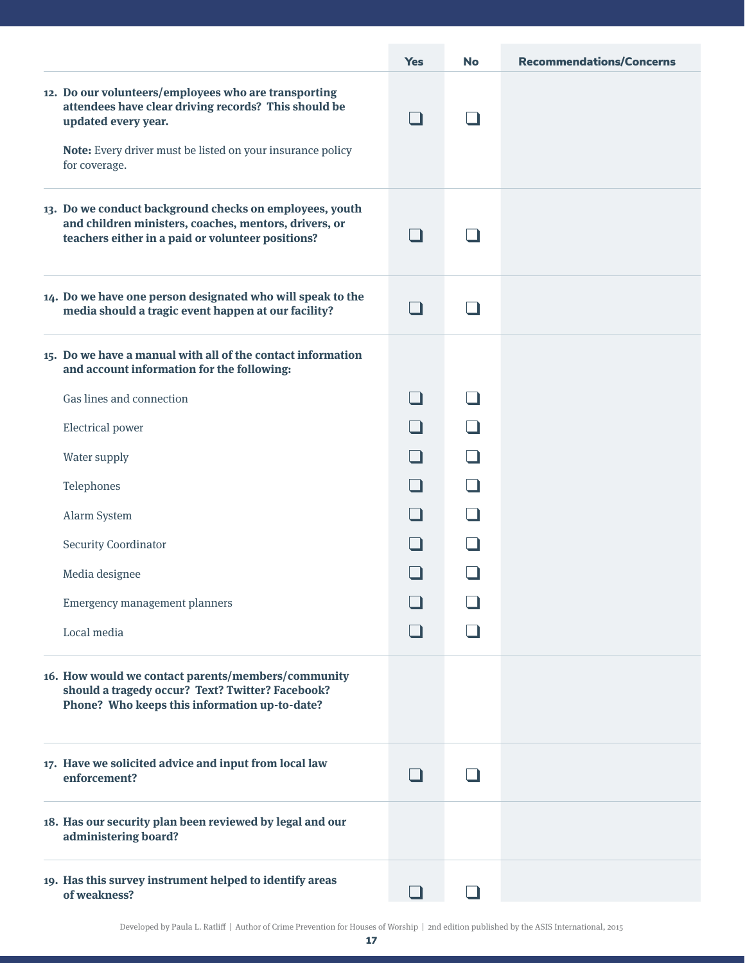|                                                                                                                                                                       | <b>Yes</b>     | <b>No</b> | <b>Recommendations/Concerns</b> |
|-----------------------------------------------------------------------------------------------------------------------------------------------------------------------|----------------|-----------|---------------------------------|
| 12. Do our volunteers/employees who are transporting<br>attendees have clear driving records? This should be<br>updated every year.                                   | $\blacksquare$ |           |                                 |
| Note: Every driver must be listed on your insurance policy<br>for coverage.                                                                                           |                |           |                                 |
| 13. Do we conduct background checks on employees, youth<br>and children ministers, coaches, mentors, drivers, or<br>teachers either in a paid or volunteer positions? | - 1            |           |                                 |
| 14. Do we have one person designated who will speak to the<br>media should a tragic event happen at our facility?                                                     | - 1            |           |                                 |
| 15. Do we have a manual with all of the contact information<br>and account information for the following:                                                             |                |           |                                 |
| Gas lines and connection                                                                                                                                              |                |           |                                 |
| Electrical power                                                                                                                                                      |                |           |                                 |
| Water supply                                                                                                                                                          |                |           |                                 |
| Telephones                                                                                                                                                            |                |           |                                 |
| Alarm System                                                                                                                                                          |                |           |                                 |
| <b>Security Coordinator</b>                                                                                                                                           |                |           |                                 |
| Media designee                                                                                                                                                        |                |           |                                 |
| Emergency management planners                                                                                                                                         |                |           |                                 |
| Local media                                                                                                                                                           |                |           |                                 |
| 16. How would we contact parents/members/community<br>should a tragedy occur? Text? Twitter? Facebook?<br>Phone? Who keeps this information up-to-date?               |                |           |                                 |
| 17. Have we solicited advice and input from local law<br>enforcement?                                                                                                 |                |           |                                 |
| 18. Has our security plan been reviewed by legal and our<br>administering board?                                                                                      |                |           |                                 |
| 19. Has this survey instrument helped to identify areas<br>of weakness?                                                                                               |                |           |                                 |

Developed by Paula L. Ratliff | Author of Crime Prevention for Houses of Worship | 2nd edition published by the ASIS International, 2015